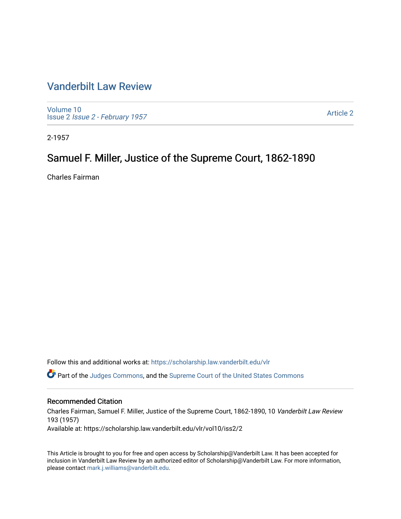## [Vanderbilt Law Review](https://scholarship.law.vanderbilt.edu/vlr)

[Volume 10](https://scholarship.law.vanderbilt.edu/vlr/vol10) Issue 2 [Issue 2 - February 1957](https://scholarship.law.vanderbilt.edu/vlr/vol10/iss2) 

[Article 2](https://scholarship.law.vanderbilt.edu/vlr/vol10/iss2/2) 

2-1957

# Samuel F. Miller, Justice of the Supreme Court, 1862-1890

Charles Fairman

Follow this and additional works at: [https://scholarship.law.vanderbilt.edu/vlr](https://scholarship.law.vanderbilt.edu/vlr?utm_source=scholarship.law.vanderbilt.edu%2Fvlr%2Fvol10%2Fiss2%2F2&utm_medium=PDF&utm_campaign=PDFCoverPages)

Part of the [Judges Commons,](http://network.bepress.com/hgg/discipline/849?utm_source=scholarship.law.vanderbilt.edu%2Fvlr%2Fvol10%2Fiss2%2F2&utm_medium=PDF&utm_campaign=PDFCoverPages) and the [Supreme Court of the United States Commons](http://network.bepress.com/hgg/discipline/1350?utm_source=scholarship.law.vanderbilt.edu%2Fvlr%2Fvol10%2Fiss2%2F2&utm_medium=PDF&utm_campaign=PDFCoverPages)

### Recommended Citation

Charles Fairman, Samuel F. Miller, Justice of the Supreme Court, 1862-1890, 10 Vanderbilt Law Review 193 (1957) Available at: https://scholarship.law.vanderbilt.edu/vlr/vol10/iss2/2

This Article is brought to you for free and open access by Scholarship@Vanderbilt Law. It has been accepted for inclusion in Vanderbilt Law Review by an authorized editor of Scholarship@Vanderbilt Law. For more information, please contact [mark.j.williams@vanderbilt.edu.](mailto:mark.j.williams@vanderbilt.edu)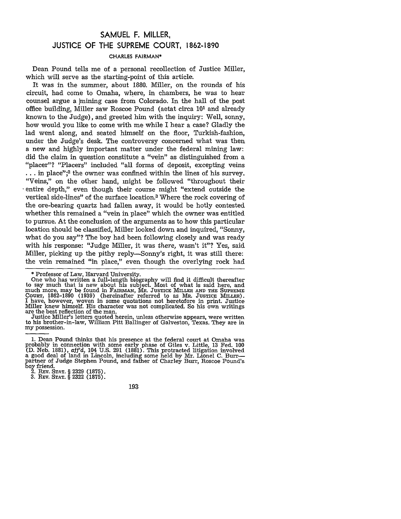## **SAMUEL** F. MILLER, **JUSTICE** OF THE **SUPREME COURT, 1862-1890**

### CHARLES FAIRMAN\*

Dean Pound tells me of a personal recollection of Justice Miller, which will serve as the starting-point of this article.

It was in the summer, about 1880. Miller, on the rounds of his circuit, had come to Omaha, where, in chambers, he was to hear counsel argue a  $\mu$  mining case from Colorado. In the hall of the post office building, Miller saw Roscoe Pound (aetat circa 101 and already known to the Judge), and greeted him with the inquiry: Well, sonny, how would you like to come with me while I hear a case? Gladly the lad went along, and seated himself on the floor, Turkish-fashion, under the Judge's desk. The controversy concerned what was then a new and highly important matter under the federal mining law: did the claim in question constitute a "vein" as distinguished from a "placer"? "Placers" included "all forms of deposit, excepting veins  $\ldots$  in place";<sup>2</sup> the owner was confined within the lines of his survey. "Veins," on the other hand, might be followed "throughout their entire depth," even though their course might "extend outside the vertical side-lines" of the surface location.3 Where the rock covering of the ore-bearing quartz had fallen away, it would be hotly contested whether this remained a "vein in place" which the owner was entitled to pursue. At the conclusion of the arguments as to how this particular location should be classified, Miller looked down and inquired, "Sonny, what do you say"? The boy had been following closely and was ready with his response: "Judge Miller, it was there, wasn't it"? Yes, said Miller, picking up the pithy reply-Sonny's right, it was still there: the vein remained "in place," even though the overlying rock had

my possession.

2. **REv. STAT.** § 2329 (1875).

**3.** REV. **STAT.** § 2322 (1875).

193

<sup>\*</sup> Professor of Law, Harvard University.

One who has written a full-length biography will find it difficult thereafter to say much that is new about his subject. Most of what is said here, and much more, may be found in FAiRMAN, *Ma.* **JUSTICE MILLER AND THE SUPREME** COURT, 1862-1890 (1939) (hereinafter referred to as MR. **JUSTICE** MILLER). I have, however, woven in some quotations not heretofore in print. Justice Miller knew himself. His character was not complicated. So his own writings<br>are the best reflection of the man.<br>Justice Miller's letters quoted herein, unless otherwise appears, were written<br>to his brother-in-law, William

**<sup>1.</sup>** Dean Pound thinks that his presence at the federal court at Omaha was probably in connection with some early phase of Giles v. Little, 13 Fed. 100 (D. Neb. 1881), *aff'd,* 104 U.S. 291 (1881). This protracted litigation involved a good deal of land in Lincoln, including some held by Mr. Lionel C. Burrpartner of Judge Stephen Pound, and father of Charley Burr, Roscoe Pound's boy friend.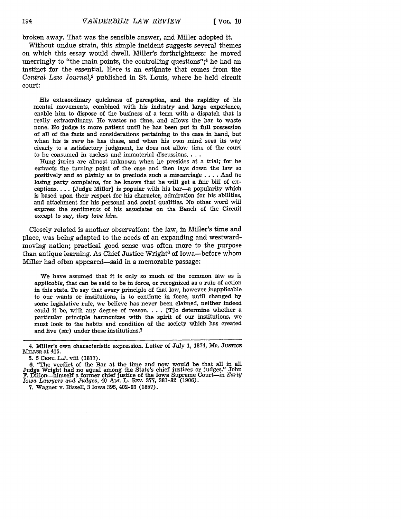broken away. That was the sensible answer, and Miller adopted it.

Without undue strain, this simple incident suggests several themes on which this essay would dwell. Miller's forthrightness: he moved unerringly to "the main points, the controlling questions"; $4$  he had an instinct for the essential. Here is an estimate that comes from the *Central Law Journal,5* published in St. Louis, where he held circuit court:

His extraordinary quickness of perception, and the rapidity of his mental movements, combined with his industry and large experience, enable him to dispose of the business of a term with a dispatch that is really extraordinary. He wastes no time, and allows the bar to waste none. No judge is more patient until he has been put in full possession of all of the facts and considerations pertaining to the case in hand, but when his is *sure* he has these, and when his own mind sees its way clearly to a satisfactory judgment, he does not allow time of the court to be consumed in useless and immaterial discussions....

Hung juries are almost unknown when he presides at a trial; for he extracts the turning point of the case and then lays down the law so positively and so plainly as to preclude such a miscarriage .... And no losing party complains, for he knows that he will get a fair bill of exceptions **....** [Judge Miller] is popular with his bar-a popularity which is based upon their respect for his character, admiration for his abilities, and attachment for his personal and social qualities. No other word will express the sentiments of his associates on the Bench of the Circuit except to say, *they* love *him.*

Closely related is another observation: the law, in Miller's time and place, was being adapted to the needs of an expanding and westwardmoving nation; practical good sense was often more to the purpose than antique learning. As Chief Justice Wright<sup>6</sup> of Iowa-before whom Miller had often appeared-said in a memorable passage:

We have assumed that it is only so much of the common law as is *applicable,* that can be said to be in force, or recognized as a rule of action in this state. To say that every principle of that law, however inapplicable to our wants or institutions, is to continue in force, until changed by some legislative rule, we believe has never been claimed, neither indeed could it be, with any degree of reason **....** [Tlo determine whether a particular principle harmonizes with the spirit of our institutions, we must look to the habits and condition of the society which has created and live (sic) under these institutions.7

<sup>4.</sup> Miller's own characteristic expression. Letter of July 1, 1874, MR. **JUsTICE MILLER** at 415.

<sup>5. 5</sup> **CENT.** L.J. viii (1877).

**<sup>6.</sup>** "The verdict of the Bar at the time and now would be that all in all Judge Wright had no equal among the State's chief justices or judges." John F. Dillon-himself a former chief justice of the Iowa Supreme Court-in *Early Iowa Lawyers* and *Judges,* 40 Am. L. REv. 377, 381-82 (1906).

<sup>7.</sup> Wagner v. Bissell, 3 Iowa 395, 402-03 (1857).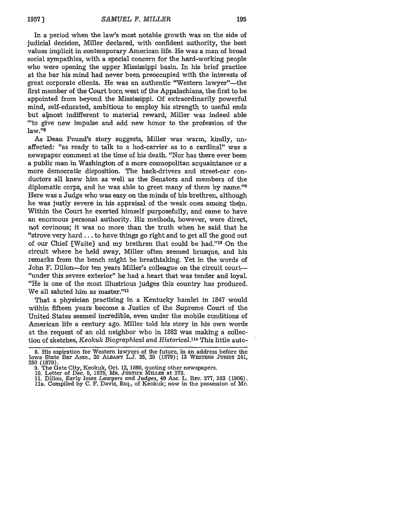In a period when the law's most notable growth was on the side of judicial decision, Miller declared, with confident authority, the best values implicit in contemporary American life. He was a man of broad social sympathies, with a special concern for the hard-working people who were opening the upper Mississippi basin. In his brief practice at the bar his mind had never been preoccupied with the interests of great corporate clients. He was an authentic "Western lawyer"-the first member of the Court born west of the Appalachians, the first to be appointed from beyond the Mississippi. **Of** extraordinarily powerful mind, self-educated, ambitious to employ his strength to useful ends but almost indifferent to material reward, Miller was indeed able l"to give new impulse and add new honor to the profession of the  $law."$ <sup>8</sup>

As Dean Pound's story suggests, Miller was warm, kindly, unaffected: "as ready to talk to a hod-carrier as to a cardinal" was a newspaper comment at the time of his death. "Nor has there ever been a public man in Washington of a more cosmopolitan acquaintance or a more democratic disposition. The hack-drivers and street-car conductors all knew him as well as the Senators and members of the diplomatic corps, and he was able to greet many of them by name."9 Here was a Judge who was easy on the minds of his brethren, although he was justly severe in his appraisal of the weak ones among them. Within the Court he exerted himself purposefully, and came to have an enormous personal authority. His methods, however, were direct, not covinous; it was no more than the truth when he said that he "strove very hard.., to have things go right and to get all the good out of our Chief [Waite] and my brethren that could be had."<sup>10</sup> On the circuit where he held sway, Miller often seemed brusque, and his remarks from the bench might be breathtaking. Yet in the words of John F. Dillon-for ten years Miller's colleague on the circuit court-"under this severe exterior" he had a heart that was tender and loyal. "He is one of the most illustrious judges this country has produced. We all saluted him as master."<sup>11</sup>

That a physician practising in a Kentucky hamlet in 1847 would within fifteen years become a Justice of the Supreme Court of the United States seemed incredible, even under the mobile conditions of American life a century ago. Miller told his story in his own words at the request of an old neighbor who in 1882 was making a collection of sketches, *Keokuk Biographical and Historical*.<sup>11a</sup> This little auto-

11. Dillon, *Early Iowa Lawyers and Judges,* 40 Am. L. REV. **377, 383** (1906). Ila. Compiled by **C.** F. Davis, Esq., of Keokuk; now in the possession of Mr,

<sup>8.</sup> His aspiration for Western lawyers of the future, in an address before the Iowa State Bar Assn., 20 **ALBAN'Y** L.J. 25, 29 (1879); 13 **WESTERN JURIST** 241, 250 (1879).

<sup>9.</sup> The Gate City, Keokuk, Oct. 12, 1890, quoting other newspapers.

<sup>10.</sup> Letter of Dec. **5,** 1875, MR. **JUSTICE MILLER** at 373.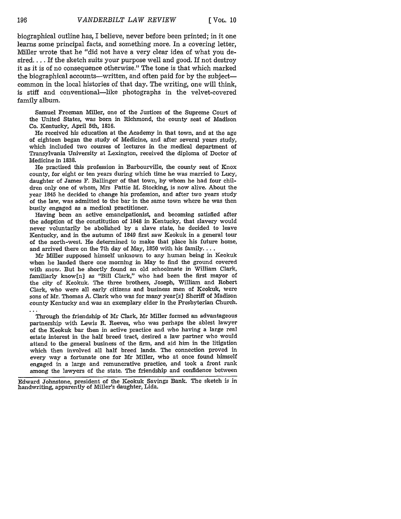biographical outline has, I believe, never before been printed; in it one learns some principal facts, and something more. In a covering letter, Miller wrote that he "did not have a very clear idea of what you desired.... If the sketch suits your purpose well and good. If not destroy it as it is of no consequence otherwise." The tone is that which marked the biographical accounts—written, and often paid for by the subject common in the local histories of that day. The writing, one will think, is stiff and conventional-like photographs in the velvet-covered family album.

Samuel Freeman Miller, one of the Justices of the Supreme Court of the United States, was born in Richmond, the county seat of Madison Co. Kentucky, April 5th, 1816.

He received his education at the Academy in that town, and at the age of eighteen began the study of Medicine, and after several years study, which included two courses of lectures in the medical department of Transylvania University at Lexington, received the diploma of Doctor of Medicine in **1838.**

He practised this profession in Barbourville, the county seat of Knox county, for eight or ten years during which time he was married to Lucy, daughter of James F. Ballinger of that town, by whom he had four children only one of whom, Mrs Pattie M. Stocking, is now alive. About the year 1845 he decided to change his profession, and after two years study of the law, was admitted to the bar in the same town where he was then busily engaged as a medical practitioner.

Having been an active emancipationist, and becoming satisfied after the adoption of the constitution of 1848 in Kentucky, that slavery would never voluntarily be abolished by a slave state, he decided to leave Kentucky, and in the autumn of 1849 first saw Keokuk in a general tour of the north-west. He determined to make that place his future home, and arrived there on the 7th day of May, 1850 with his family....

Mr Miller supposed himself unknown to any human being in Keokuk when he landed there one morning in May to find the ground covered with snow. But he shortly found an old schoolmate in William Clark, familiarly know[n] as "Bill Clark," who had been the first mayor of the city of Keokuk. The three brothers, Joseph, William and Robert Clark, who were all early citizens and business men of Keokuk, were sons of Mr. Thomas A. Clark who was for many year [s] Sheriff of Madison county Kentucky and was an exemplary elder in the Presbyterian Church.

Through the friendship of Mr Clark, Mr Miller formed an advantageous partnership with Lewis R. Reeves, who was perhaps the ablest lawyer of the Keokuk bar then in active practice and who having a large real estate interest in the half breed tract, desired a law partner who would attend to the general business of the firm, and aid him in the litigation which then involved all half breed lands. The connection proved in every way a fortunate one for Mr Miller, who at once found himself engaged in a large and remunerative practice, and took a front rank among the lawyers of the state. The friendship and confidence between

Edward Johnstone, president of the Keokuk Savings Bank. The sketch **is** in handwriting, apparently of Miller's daughter, Lida.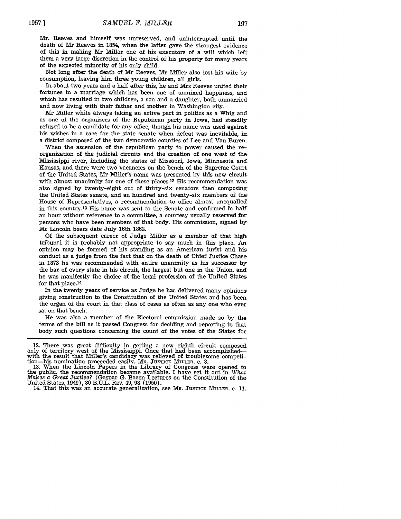Not long after the death of Mr Reeves, Mr Miller also lost his wife by consumption, leaving him three young children, all girls.

In about two years and a half after this, he and Mrs Reeves united their fortunes in a marriage which has been one of unmixed happiness, and which has resulted in two children, a son and a daughter, both unmarried and now living with their father and mother in Washington city.

Mr Miller while always taking an active part in politics as a Whig and as one of the organizers of the Republican party in Iowa, had steadily refused to be a candidate for any office, though his name was used against his wishes in a race for the state senate when defeat was inevitable, in a district composed of the two democratic counties of Lee and Van Buren-

When the ascension of the republican party to power caused the reorganization of the judicial circuits and the creation of one west of the Mississippi river, including the states of Missouri, Iowa, Minnesota and Kansas, and there were two vacancies on the bench of the Supreme Court of the United States, Mr Miller's name was presented by this new circuit with almost unanimity for one of these places.12 His recommendation was also signed by twenty-eight out of thirty-six senators then composing the United States senate, and an hundred and twenty-six members of the House of Representatives, a recommendation to office almost unequalled in this country.<sup>13</sup> His name was sent to the Senate and confirmed in half an hour without reference to a committee, a courtesy usually reserved for persons who have been members of that body. His commission, signed by Mr Lincoln bears date July 16th 1862.

Of the subsequent career of Judge Miller as a member of that high tribunal it is probably not appropriate to say much in this place. An opinion may be formed of his standing as an American jurist and his conduct as a judge from the fact that on the death of Chief Justice Chase in **1873** he was recommended with entire unanimity as his successor by the bar of every state in his circuit, the largest but one in the Union, and he was manifestly the choice of the legal profession of the United States for that place. <sup>14</sup>

In the twenty years of service as Judge he has delivered many opinions giving construction to the Constitution of the United States and has been the organ of the court in that class of cases as often as any one who ever sat on that bench.

He was also a member of the Electoral commission made so by the terms of the bill as it passed Congress for deciding and reporting to that body such questions concerning the count of the votes of the States for

<sup>12.</sup> There was great difficulty in getting a new eighth circuit composed only of territory west of the Mississippi. Once that had been accomplished—with the result that Miller's candidacy was relieved of troublesome competi

**<sup>13.</sup>** When the Lincoln Papers in the Library of Congress were opened to the public, the recommendation became available. I have set it out in What *Makes a Great Justice?* (Gaspar G. Bacon Lectures on the Constitution of the-United States, 1949), 30 B.U.L. REv. 49, 98 (1950).

<sup>14.</sup> That this was an accurate generalization, see MR. JUSTICE MILLER, C. 11.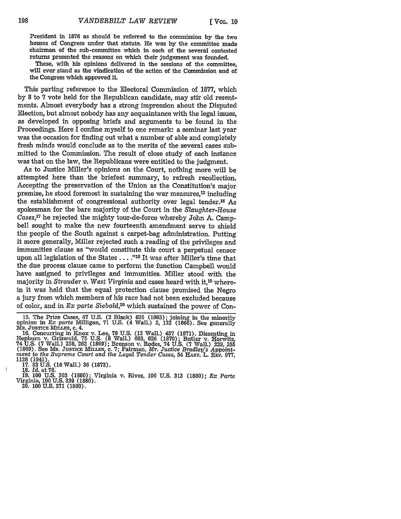President in **1876** as should be referred to the commission **by** the two houses of Congress under that statute. He was **by** the committee made chairman of the sub-committee which in each of the several contested returns presented the reasons on which their judgement was founded.

These, with his opinions delivered in the sessions of the committee, will ever stand as the vindication of the action of the Commission and of the Congress which approved it.

This parting reference to the Electoral Commission of **1877,** which **by 8** to **7** vote held for the Republican candidate, may stir old resentments. Almost everybody has a strong impression about the Disputed Election, but almost nobody has any acquaintance with the legal issues, as developed in opposing briefs and arguments to be found in the Proceedings. Here I confine myself to one remark: a seminar last year was the occasion for finding out what a number of able and completely fresh minds would conclude as to the merits of the several cases submitted to the Commission. The result of close study of each instance was that on the law, the Republicans were entitled to the judgment.

As to Justice Miller's opinions on the Court, nothing more will be attempted here than the briefest summary, to refresh recollection. Accepting the preservation of the Union as the Constitution's major premise, he stood foremost in sustaining the war measures,15 including the establishment of congressional authority over legal tender.16 As spokesman for the bare majority of the Court in the *Slaughter-House Cases,'7* he rejected the mighty tour-de-force whereby John A. Campbell sought to make the new fourteenth amendment serve to shield the people of the South against a carpet-bag administration. Putting it more generally, Miller rejected such a reading of the privileges and immunities clause as "would constitute this court a perpetual censor upon all legislation of the States . . . .<sup>"18</sup> It was after Miller's time that the due process clause came to perform the function Campbell would have assigned to privileges and immunities. Miller stood with the majority in *Strauder v. West Virginia* and cases heard with it,19 wherein it was held that the equal protection clause promised the Negro a jury from which members of his race had not been excluded because of color, and in *Ex parte Siebold,20* which sustained the power of Con-

]18. *Id.* at 78.

**19.** 100 U.S. **303** (1880); Virginia v. Rives, **100** U.S. **313** (1880); *Ex Parte* Virginia, 100 U.S. **339** (1880). 20. 100 U.S. **371** (1880).

198

**<sup>15.</sup>** The Prize Cases, 67 U.S. (2 Black) 635 (1863); joining in the minority opinion in Ex *parte* Milligan, **71** U.S. (4 Wall.) 2, **132** (1866). See generally MR. **JUSTICE MILLER, c.** 4.

<sup>16.</sup> Concurring in Knox v. Lee, 79 U.S. (12 Wall.) 457 (1871). Dissenting in Hepburn v. Griswold, 75 U.S. (8 Wall.) 603, 626 (1870); Butler v. Horwitz, 74 U.S. (7 Wall.) 258, 262 (1869); Bronson v. Rodes, 74 U.S. (7 Wall.)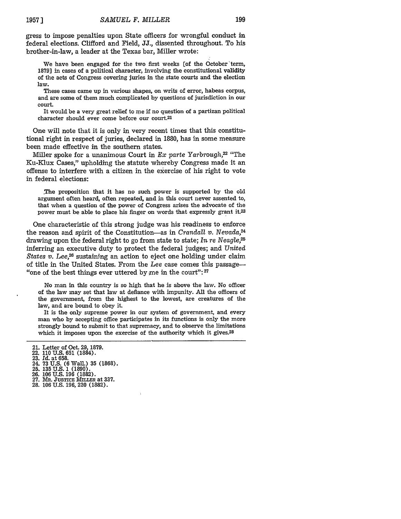gress to impose penalties upon State officers for wrongful conduct in federal elections. Clifford and Field, JJ., dissented throughout. To his brother-in-law, a leader at the Texas bar, Miller wrote:

We have been engaged for the two first weeks [of the October term, 1879] in cases of a political character, involving the constitutional validity of the acts of Congress covering juries in the state courts and the election law.

These cases came up in various shapes, on writs of error, habeas corpus, and are some of them much complicated by questions of jurisdiction in our court.

It would be a very great relief to me if no question of a partizan political character should ever come before our court.21

One will note that it is only in very recent times that this constitutional right in respect of juries, declared in **1880,** has in some measure been made effective in the southern states.

Miller spoke for a unanimous Court in *Ex parte Yarbrough,22* "The Ku-Klux Cases," upholding the statute whereby Congress made it an offense to interfere with a citizen in the exercise of his right to vote in federal elections:

.The proposition that it has no such power is supported by the old argument often heard, often repeated, and in this court never assented to, that when a question of the power of Congress arises the advocate of the power must be able to place his finger on words that expressly grant **it.23**

One characteristic of this strong judge was his readiness to enforce the reason and spirit of the Constitution-as in *Crandall v. Nevada*,<sup>24</sup> drawing upon the federal right to go from state to state; *In re Neagle,5* inferring an executive duty to protect the federal judges; and *United States v. Lee*,<sup>26</sup> sustaining an action to eject one holding under claim of title in the United States. From the *Lee* case comes this passage- "one of the best things ever uttered by me in the court": **<sup>27</sup>**

No man in this country is so high that he is above the law. No officer of the law may set that law at defiance with impunity. All the officers of the government, from the highest to the lowest, are creatures of the law, and are bound to obey it.

It is the only supreme power in our system of government, and every man who by accepting office participates in its functions is only the more strongly bound to submit to that supremacy, and to observe the limitations which it imposes upon the exercise of the authority which it gives.<sup>28</sup>

- 22. **110** U.S. **651** (1884). 23. *Id.* at **658.**
- 24. **73 U.S. (6** Wall.) **35 (1868).**
- 
- 25. **135** U.S. 1 (1890). 26. **106** U.S. 196 (1882).
- **27.** MR. **JUSTIC MILLER** at **337.**
- **28. 106 U.S. 196,** 220 **(1882).**

<sup>21.</sup> Letter of Oct. 29, 1879.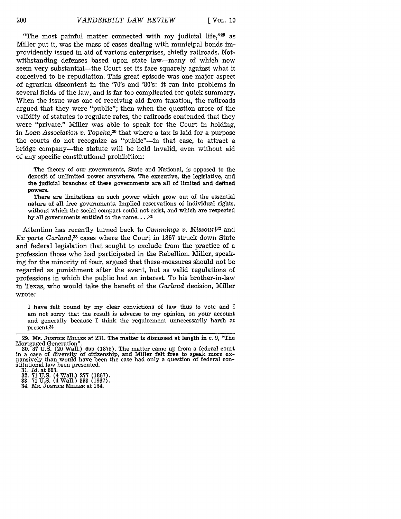**[** VOL, **10**

"The most painful matter connected with my judicial life,"29 as Miller put it, was the mass of cases dealing with municipal bonds improvidently issued in aid of various enterprises, chiefly railroads. Notwithstanding defenses based upon state law—many of which now seem very substantial—the Court set its face squarely against what it conceived to be repudiation. This great episode was one major aspect -of agrarian discontent in the '70's and '80's: it ran into problems in several fields of the law, and is far too complicated for quick summary. When the issue was one of receiving aid from taxation, the railroads argued that they were "public"; then when the question arose of the validity of statutes to regulate rates, the railroads contended that they were "private." Miller was able to speak for the Court in holding, in Loan *Association v. Topeka,30* that where a tax is laid for a purpose the courts do not recognize as "public"--in that case, to attract a bridge company-the statute will be held invalid, even without aid of any specific constitutional prohibition:

The theory of our governments, State and National, is opposed to the deposit of unlimited power anywhere. The executive, the legislative, and the judicial branches of these governments are all of limited and defined powers.

There are limitations on such power which grow out of the essential nature of all free governments. Implied reservations of individual rights, without which the social compact could not exist, and which are respected by all governments entitled to the name **.... <sup>31</sup>**

Attention has recently turned back to *Cummings v. Missouri32* and *Ex parte Garland,33* cases where the Court in 1867 struck down State and federal legislation that sought to exclude from the practice of a profession those who had participated in the Rebellion. Miller, speaking for the minority of four, argued that these measures should not be regarded as punishment after the event, but as valid regulations of professions in which the public had an interest. To his brother-in-law in Texas, who would take the benefit of the *Garland* decision, Miller wrote:

I have felt bound by my clear convictions of law thus to vote and I am not sorry that the result is adverse to my opinion, on your account and generally because I think the requirement unnecessarily harsh at present.<sup>34</sup>

<sup>29.</sup> MR. JUSTICE MILLER at 231. The matter is discussed at length in c. 9, "The Mortgaged Generation". 30. 87 U.S. (20 Wall.) 655 (1875). The matter came up from a federal court

in a case of diversity of citizenship, and Miller felt free to speak more ex-pansively than would have been the case had only a question of federal constitutional law been presented.

<sup>31.</sup> *Id.* at 663.

<sup>32. 71</sup> U.S. (4 Wall.) 277 (1867).

<sup>33. 71</sup> U.S. (4 Wall.) 333 (1867).

<sup>34.</sup> MR. **JUSTICE MILLER** at 134.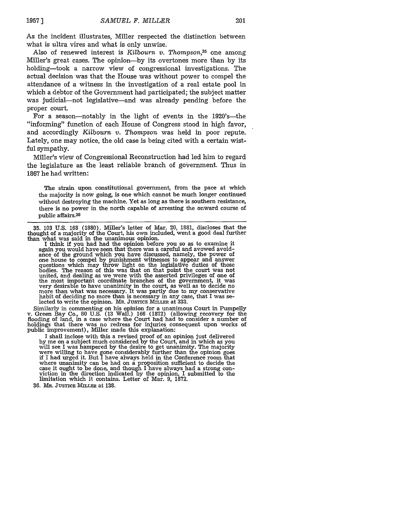As the incident illustrates, Miller respected the distinction between what is ultra vires and what is only unwise.

Also of renewed interest is *Kilbourn v. Thompson*,<sup>35</sup> one among Miller's great cases. The opinion-by its overtones more than by its holding-took a narrow view of congressional investigations. The actual decision was that the House was without power to compel the attendance of a witness in the investigation of a real estate pool in which a debtor of the Government had participated; the subject matter was judicial—not legislative—and was already pending before the proper court.

For a season-notably in the light of events in the 1920's-the "informing" function of each House of Congress stood in high favor, and accordingly *Kilbourn v.* Thompson was held in poor repute. Lately, one may notice, the old case is being cited with a certain wistful sympathy.

Miller's view of Congressional Reconstruction had led him to regard the legislature as the least reliable branch of government. Thus in 1867 he had written:

The strain upon constitutional government, from the pace at which the majority is now going, is one which cannot be much longer continued without destroying the machine. Yet as long as there is southern resistance, there is no power in the north capable of arresting the onward course of public affairs. <sup>36</sup>

I think if you had had the opinion before you so as to examine it again you would have seen that there was a careful and avowed avoid-<br>ance of the ground which you have discussed, namely, the power of<br>one house to compel by punishment witnesses to appear and answer<br>questions which may th bodies. The reason of this was that on that point the court was not united, and dealing as we were with the asserted privileges of one of<br>the most important coordinate branches of the government, it was<br>very desirable to have unanimity in the court, as well as to decide no<br>more than what w habit of deciding no more than is necessary in any case, that I was se- lected to write the opinion. MR. **JUSTICE MILLER** at 333.

Similarly in commenting on his opinion for a unanimous Court in Pumpelly v. Green Bay Co., **80 U.S. (13** Wall.) **166 (1872)** (allowing recovery for the flooding of land, in a case where the Court had had to consider a number of holdings that there was no redress for injuries consequent upon works of public improvement), Miller made this explanation:

I shall inclose with this a revised proof of an opinion just delivered<br>by me on a subject much considered by the Court, and in which as you<br>will see I was hampered by the desire to get unanimity. The majority<br>were willing if I had urged it. But I have always held in the Conference room that where unanimity can be had on a proposition sufficient to decide the case it ought to be done, and though I have always had a strong con- viction in the direction indicated **by** the opinion, I submitted to the limitation which it contains. Letter of Mar. **9, 1872.**

**36.** MR. **JUSTICE MILLER** at **138.**

**<sup>35.</sup>** 103 U.S. 168 (1880). Miller's letter of Mar. 20, 1881, discloses that the thought of a majority of the Court, his own included, went a good deal further than what was said in the unanimous opinion.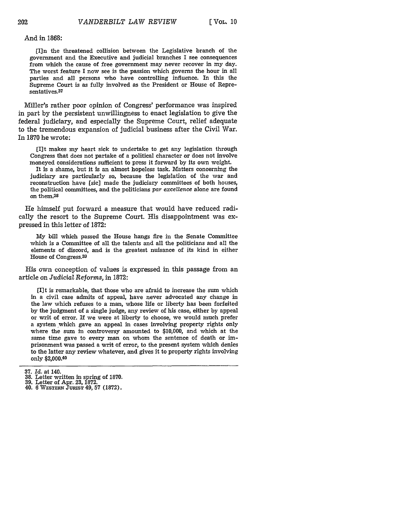And in 1868:

[I]n the threatened collision between the Legislative branch of the government and the Executive and judicial branches I see consequences from which the cause of free government may never recover in my day. The worst feature I now see is the passion which governs the hour in all parties and all persons who have controlling influence. In this the Supreme Court is as fully involved as the President or House of Representatives.<sup>37</sup>

Miller's rather poor opinion of Congress' performance was inspired in part by the persistent unwillingness to enact legislation to give the federal judiciary, and especially the Supreme Court, relief adequate to the tremendous expansion of judicial business after the Civil War. In 1870 he wrote:

[Ilt makes my heart sick to undertake to get any legislation through Congress that does not partake of a political character or does not involve moneyed considerations sufficient to press it forward by its own weight.

It is a shame, but it is an almost hopeless task. Matters concerning the judiciary are particularly so, because the legislation of the war and reconstruction have [sic] made the judiciary committees of both houses, the political committees, and the politicians *par excellence* alone are found on them.38

He himself put forward a measure that would have reduced radically the resort to the Supreme Court. His disappointment was expressed in this letter of 1872:

My bill which passed the House hangs fire in the Senate Committee which is a Committee of all the talents and all the politicians and all the elements of discord, and is the greatest nuisance of its kind in either House of Congress.<sup>39</sup>

His own conception of values is expressed in this passage from an article on *Judicial Reforms,* in 1872:

[lilt is remarkable, that those who are afraid to increase the sum which in a civil case admits of appeal, have never advocated any change in the law which refuses to a man, whose life or liberty has been forfeited by the judgment of a single judge, any review of his case, either by appeal or writ of error. If we were at liberty to choose, we would much prefer a system which gave an appeal in cases involving property rights only where the sum in controversy amounted to \$10,000, and which at the same time gave to every man on whom the sentence of death or imprisonment was passed a writ of error, to the present system which denies to the latter any review whatever, and gives it to property rights involving only \$2,000.40

<sup>37.</sup> *Id.* at 140.

**<sup>38.</sup>** Letter written in spring of 1870.

**<sup>39.</sup>** Letter of Apr. 23, 1872. 40. 6 WESTERN **JUIST** 49, 57 (1872).

<sup>202</sup>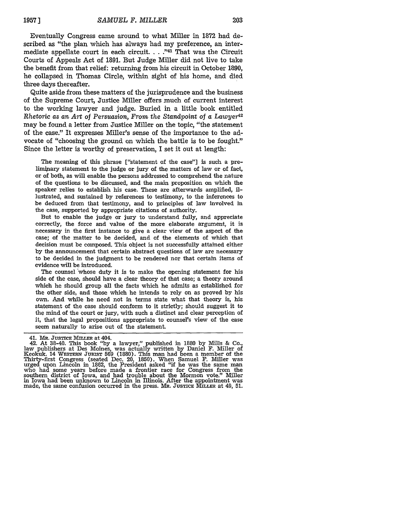Eventually Congress came around to what Miller in 1872 had described as "the plan which has always had my preference, an intermediate appellate court in each circuit **.... "41** That was the Circuit Courts of Appeals Act of 1891. But Judge Miller did not live to take the benefit from that relief: returning from his circuit in October 1890, he collapsed in Thomas Circle, within sight of his home, and died three days thereafter.

Quite aside from these matters of the jurisprudence and the business of the Supreme Court, Justice Miller offers much of current interest to the working lawyer and judge. Buried in a little book entitled *Rhetoric as an Art of Persuasion, From the Standpoint of a Lawyer42* may be found a letter from Justice Miller on the topic, "the statement of the case." It expresses Miller's sense of the importance to the advocate of "choosing the ground on which the battle is to be fought." Since the letter is worthy of preservation, I set it out at length:

The meaning of this phrase ["statement of the case"] is such a prelimipary statement to the judge or jury of the matters of law or of fact, or of both, as will enable the persons addressed to comprehend the nature of the questions to be discussed, and the main proposition on which the speaker relies to establish his case. These are afterwards amplified, illustrated, and sustained by references to testimony, to the inferences to be deduced from that testimony, and to principles of law involved in the case, supported by appropriate citations of authority.

But to enable the judge or jury to understand fully, and appreciate correctly, the force and value of the more elaborate argument, it is necessary in the first instance to give a clear view of the aspect of the case; of the matter to be decided, and of the elements of which that decision must be composed. This object is not successfully attained either by the announcement that certain abstract questions of law are necessary to be decided in the judgment to be rendered nor that certain items of evidence will be introduced.

The counsel 'whose duty it is to make the opening statement for his side of the case, should have a clear theory of that case; a theory around which he should group all the facts which he admits as established for the other side, and those which he intends to rely on as proved by his own. And while he need not in terms state what that theory is, his statement of the case should conform to it strictly; should suggest it to the mind of the court or jury, with such a distinct and clear perception of it, that the legal propositions appropriate to counsel's view of the case seem naturally to arise out of the statement.

<sup>41.</sup> MR. **JUSTICE MMILER** at 404.

<sup>42.</sup> At 38-40. This book **"by** a lawyer," published in **1880 by** Mills & Co., law publishers at Des Moines, was actually written **by** Daniel F. Miller of Keokuk. 14 **WESTERN JUIST 569 (1880).** This man had been a member of the Thirty-first Congress (seated Dec. 20, **1850).** When Samuel **F.** Miller was urged upon Lincoln in **1862,** the President asked "if he was the same man urged upon Lincoln in 1862, the President asked "if he was the same man who had some years before made a frontier race for Congress from the southern district of Iowa, and had trouble about the Mormon vote." Miller in Iowa had been unknown to Lincoln in Illinois. After the appointment was made, the same confusion occurred in the press. MR. **JUSTICE MILLER** at 49, **51.**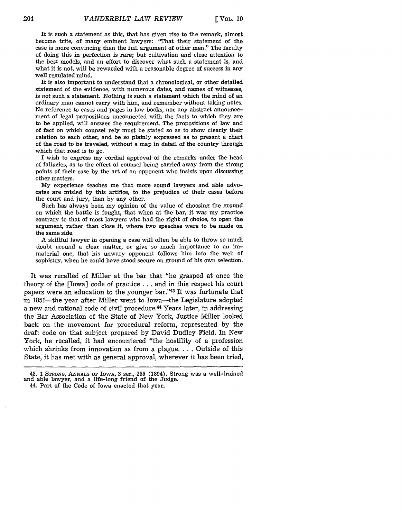It is such a statement as this, that has given rise to the remark, almost become trite, of many eminent lawyers: "That their statement of the case is more convincing than the full argument of other men." The faculty of doing this in perfection is rare; but cultivation and close attention to the best models, and an effort to discover what such a statement is, and what it is not, will be rewarded with a reasonable degree of success in any well regulated mind.

It is also important to understand that a chronological, or other detailed statement of the evidence, with numerous dates, and names of witnesses, is *not* such a statement. Nothing is such a statement which the mind of an ordinary man cannot carry with him, and remember without taking notes. No reference to cases and pages in law books, nor any abstract announcement of legal propositions unconnected with the facts to which they are to be applied, will answer the requirement. The propositions of law and of fact on which counsel rely must be stated so as to show clearly their relation to each other, and be so plainly expressed as to present a chart of the road to be traveled, without a map in detail of the country through which that road is to go.

I wish to express my cordial approval of the remarks under the head of fallacies, as to the effect of counsel being carried away from the strong points of their case by the art of an opponent who insists upon discussing other matters.

My experience teaches me that more sound lawyers and able advocates are misled by this artifice, to the prejudice of their cases before the court and jury, than by any other.

Such has always been my opinion of the value of choosing the ground on which the battle is fought, that when at the bar, it was my practice contrary to that of most lawyers who had the right of choice, to open the argument, rather than close it, where two speeches were to be made on the same side.

A skillful lawyer in opening a case will often be able to throw so much doubt around a clear matter, or give so much importance to an immaterial one, that his unwary opponent follows him into the web of sophistry, when he could have stood secure on ground of his own selection.

It was recalled of Miller at the bar that "he grasped at once the theory of the [Iowa] code of practice **. . .** and in this respect his court papers were an education to the younger bar."43 It was fortunate that in 1851—the year after Miller went to Iowa—the Legislature adopted a new and rational code of civil procedure.<sup>44</sup> Years later, in addressing the Bar Association of the State of New York, Justice Miller looked back on the movement for procedural reform, represented by the draft code on that subject prepared by David Dudley Field. In New York, he recalled, it had encountered "the hostility of a profession which shrinks from innovation as from a plague. . . . Outside of this State, it has met with as general approval, wherever it has been tried,

44. Part of the Code of Iowa enacted that year.

<sup>43. 1</sup> STRONG, ANNALS OF IOWA, **3** ser., 255 (1894). Strong was a well-trained and able lawyer, and a life-long friend of the Judge.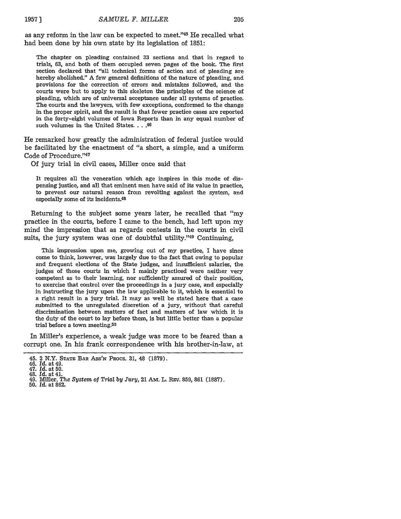as any reform in the law can be expected to meet."45 He recalled what had been done by his own state by its legislation of 1851:

The chapter on pleading contained 33 sections and that in regard to trials, 63, and both of them occupied seven pages of the book. The first section declared that "all technical forms of action and of pleading are hereby abolished." A few general definitions of the nature of pleading, and provisions for the correction of errors and mistakes followed, and the courts were but to apply to this skeleton the principles of the science of pleading, which are of universal acceptance under all systems of practice. The courts and the lawyers, with few exceptions, conformed to the change in the proper spirit, and the result is that fewer practice cases are reported in the forty-eight volumes of Iowa Reports than in any equal number of such volumes in the United States....46

lie remarked how greatly the administration of federal justice would be facilitated by the enactment of "a short, a simple, and a uniform Code of Procedure."47

Of jury trial in civil cases, Miller once said that

It requires all the veneration which age inspires in this mode of dispensing justice, and all that eminent men have said of its value in practice, to prevent our natural reason from revolting against the system, and especially some of its incidents.48

Returning to the subject some years later, he recalled that "my practice in the courts, before I came to the bench, had left upon my mind the impression that as regards contests in the courts in civil suits, the jury system was one of doubtful utility."<sup>49</sup> Continuing,

This impression upon me, growing out of my practice, I have since come to think, however, was largely due to the fact that owing to popular and frequent elections of the State judges, and insufficient salaries, the judges of those courts in which I mainly practiced were neither very competent as to their learning, nor sufficiently assured of their position, to exercise that control over the proceedings in a jury case, and especially in instructing the jury upon the law applicable to it, which is essential to a right result in a jury trial. It may as well be stated here that a case submitted to the unregulated discretion of a jury, without that careful discrimination between matters of fact and matters of law which it is the duty of the court to lay before them, is but little better than a popular trial before a town meeting.<sup>50</sup>

In Miller's experience, a weak judge was more to be feared than a corrupt one. In his frank correspondence with his brother-in-law, at

<sup>45. 2</sup> N.Y. **STATE** BAR Ass'N PRocs. 31, 48 (1879).

<sup>46.</sup> *Id.* at 49. 47. *Id.* at 50.

<sup>48.</sup> *Id.* at 41. 49. Miller, The *System of Trial by Jury,* 21 Am. L. REv. 859, 861 (1887). 50. *Id.* at 862.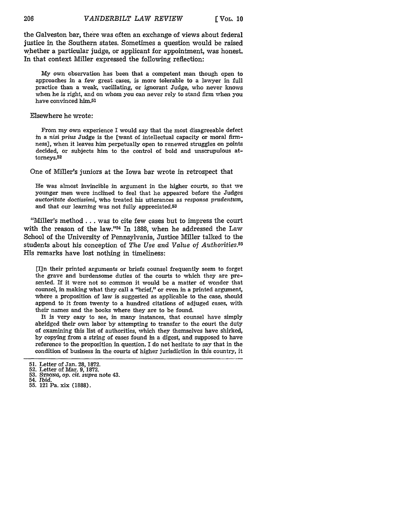the Galveston bar, there was often an exchange of views about federal justice in the Southern states. Sometimes a question would be raised whether a particular judge, or applicant for appointment, was honest. In that context Miller expressed the following reflection:

My own observation has been that a competent man though open to approaches in a few great cases, is more tolerable to a lawyer in full practice than a weak, vacillating, or ignorant Judge, who never knows when he is right, and on whom you can never rely to stand firm when you have convinced him.51

#### Elsewhere he wrote:

From my own experience I would say that the most disagreeable defect in a nisi prius Judge is the [want of intellectual capacity or moral firmness], when it leaves him perpetually open to renewed struggles on points decided, or subjects him to the control of bold and unscrupulous attorneys.<sup>52</sup>

One of Miller's juniors at the Iowa bar wrote in retrospect that

He was almost invincible in argument in the higher courts, so that we younger men were inclined to feel that he appeared before the Judges *auctoritate doctissimi,* who treated his utterances as *responsa prudentum,* and that our learning was not fully appreciated.<sup>53</sup>

"Miller's method... was to cite few cases but to impress the court with the reason of the law." $54$  In 1888, when he addressed the Law School of the University of Pennsylvania, Justice Miller talked to the students about his conception of *The Use and Value of Authorities.55* His remarks have lost nothing in timeliness:

[Iln their printed arguments or briefs counsel frequently seem to forget the grave and burdensome duties of the courts to which they are presented. If it were not so common it would be a matter of wonder that counsel, in making what they call a "brief," or even in a printed argument, where a proposition of law is suggested as applicable to the case, should append to it from twenty to a hundred citations of adjuged cases, with their names and the books where they are to be found.

It is very easy to see, in many instances, that counsel have simply abridged their own labor by attempting to transfer to the court the duty of examining this list of authorities, which they themselves have shirked, by copying from a string of cases found in a digest, and supposed to have reference to the proposition in question. I do not hesitate to say that in the condition of business in the courts of higher jurisdiction in this country, it

- 
- 55. 121 Pa. xix (1888).

206

<sup>51.</sup> Letter of Jan. 28, 1872. 52. Letter of Mar. 9, 1872.

<sup>53.</sup> *STRONG,* op. *cit. supra* note 43. 54. *Ibid.*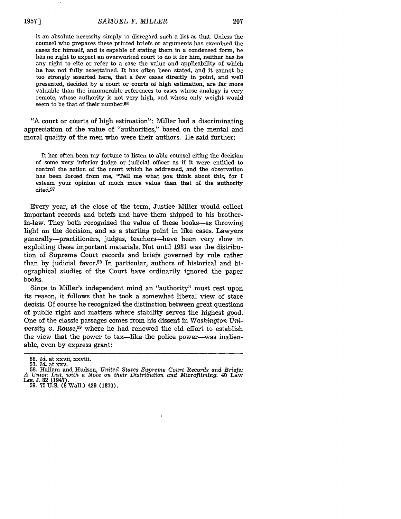is an absolute necessity simply to disregard such a list as that. Unless the counsel who prepares these printed briefs or arguments has examined the cases for himself, and is capable of stating them in a condensed form, he has no right to expect an overworked court to do it for him, neither has he any right to cite or refer to a case the value and applicability of which he has not fully ascertained. It has often been stated, and it cannot be too strongly asserted here, that a few cases directly in point, and well presented, decided by a court or courts of high estimation, are far more valuable than the innumerable references to cases whose analogy is very remote, whose authority is not very high, and whose only weight would seem to be that of their number.<sup>56</sup>

"A court or courts of high estimation": Miller had a discriminating appreciation of the value of "authorities," based on the mental and moral quality of the men who were their authors. He said further:

It has often been my fortune to listen to able counsel citing the decision of some very inferior judge or judicial officer as if it were entitled to control the action of the court which he addressed, and the observation has been forced from me, "Tell me what *you* think about this, for I esteem your opinion of much more value than that of the authority cited.57

Every year, at the close of the term, Justice Miller would collect important records and briefs and have them shipped to his brotherin-law. They both recognized the value of these books-as throwing light on the decision, and as a starting point in like cases. Lawyers generally-practitioners, judges, teachers-have been very slow in exploiting these important materials. Not until 1931 was the distribution of Supreme Court records and briefs governed by rule rather than by judicial favor.58 In particular, authors of historical and biographical studies of the Court have ordinarily ignored the paper books.

Since to Miller's independent mind an "authority" must rest upon its reason, it follows that he took a somewhat liberal view of stare decisis. Of course he recognized the distinction between great questions of public right and matters where stability serves the highest good. One of the classic passages comes from his dissent in *Washington TJniversity v. Rouse*<sup>59</sup> where he had renewed the old effort to establish the view that the power to tax-like the police power-was inalienable, even by express grant:

**<sup>56.</sup>** *Id.* at xxvii, xxviii.

<sup>57.</sup> *Id.* at xxv. **58.** Hallam and Hudson, United States *Supreme Court Records and Briefs:* A Union List, with a Note on their Distribution and Microfilming. 40 LAW<br>LIB. J. 82 (1947). 59. 75 U.S. (8 Wall.) 439 (1870).